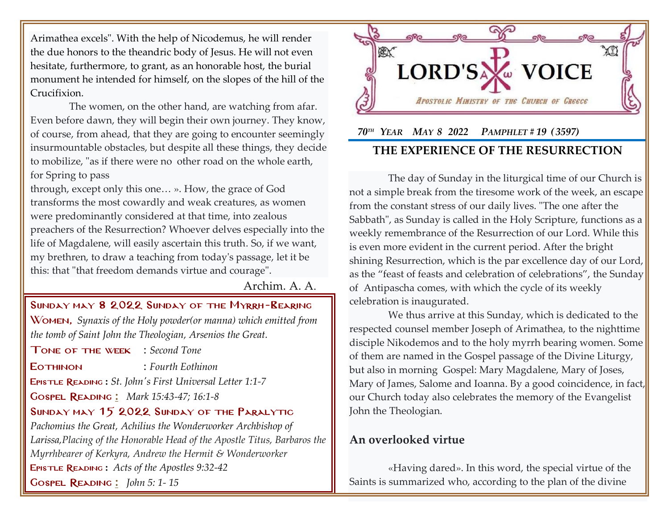Arimathea excels". With the help of Nicodemus, he will render the due honors to the theandric body of Jesus. He will not even hesitate, furthermore, to grant, as an honorable host, the burial monument he intended for himself, on the slopes of the hill of the Crucifixion.

The women, on the other hand, are watching from afar. Even before dawn, they will begin their own journey. They know, of course, from ahead, that they are going to encounter seemingly insurmountable obstacles, but despite all these things, they decide to mobilize, "as if there were no other road on the whole earth, for Spring to pass

through, except only this one… ». How, the grace of God transforms the most cowardly and weak creatures, as women were predominantly considered at that time, into zealous preachers of the Resurrection? Whoever delves especially into the life of Magdalene, will easily ascertain this truth. So, if we want, my brethren, to draw a teaching from today's passage, let it be this: that "that freedom demands virtue and courage".

Archim. A. A.

Sunday may 8 2022 Sunday of the Myrrh-Bearing Women, *Synaxis of the Holy powder(or manna) which emitted from the tomb of Saint John the Theologian, Arsenios the Great.*

Tone of the week : *Second Tone*

Eothinon : *Fourth Eothinon*

Epistle Reading **:** *[St. John's First Universal Letter 1:1-7](http://www.goarch.org/chapel/lectionary?type=E&code=353&event=44&date=05/08/2022)*

Gospel Reading **[:](http://www.goarch.org/chapel/lectionary?type=G&code=362&event=218)** *[Mark 15:43-47; 16:1-8](http://www.goarch.org/chapel/lectionary?type=G&code=300&event=900)*

#### Sunday may 15 2022 Sunday of the Paralytic

*Pachomius the Great, Achilius the Wonderworker Archbishop of Larissa,Placing of the Honorable Head of the Apostle Titus, Barbaros the Myrrhbearer of Kerkyra, Andrew the Hermit & Wonderworker* Epistle Reading **:** *[Acts of the Apostles 9:32-42](http://www.goarch.org/chapel/lectionary?type=E&code=353&event=44&date=05/08/2022)* Gospel Reading **[:](http://www.goarch.org/chapel/lectionary?type=G&code=362&event=218)** *[John 5:](http://www.goarch.org/chapel/lectionary?type=G&code=300&event=900) 1- 15*



# *70TH YEAR MAY 8 2022 PAMPHLET # 19 ( 3597)* **THE EXPERIENCE OF THE RESURRECTION**

The day of Sunday in the liturgical time of our Church is not a simple break from the tiresome work of the week, an escape from the constant stress of our daily lives. "The one after the Sabbath", as Sunday is called in the Holy Scripture, functions as a weekly remembrance of the Resurrection of our Lord. While this is even more evident in the current period. After the bright shining Resurrection, which is the par excellence day of our Lord, as the "feast of feasts and celebration of celebrations", the Sunday of Antipascha comes, with which the cycle of its weekly celebration is inaugurated.

We thus arrive at this Sunday, which is dedicated to the respected counsel member Joseph of Arimathea, to the nighttime disciple Nikodemos and to the holy myrrh bearing women. Some of them are named in the Gospel passage of the Divine Liturgy, but also in morning Gospel: Mary Magdalene, Mary of Joses, Mary of James, Salome and Ioanna. By a good coincidence, in fact, our Church today also celebrates the memory of the Evangelist John the Theologian.

## **An overlooked virtue**

«Having dared». In this word, the special virtue of the Saints is summarized who, according to the plan of the divine